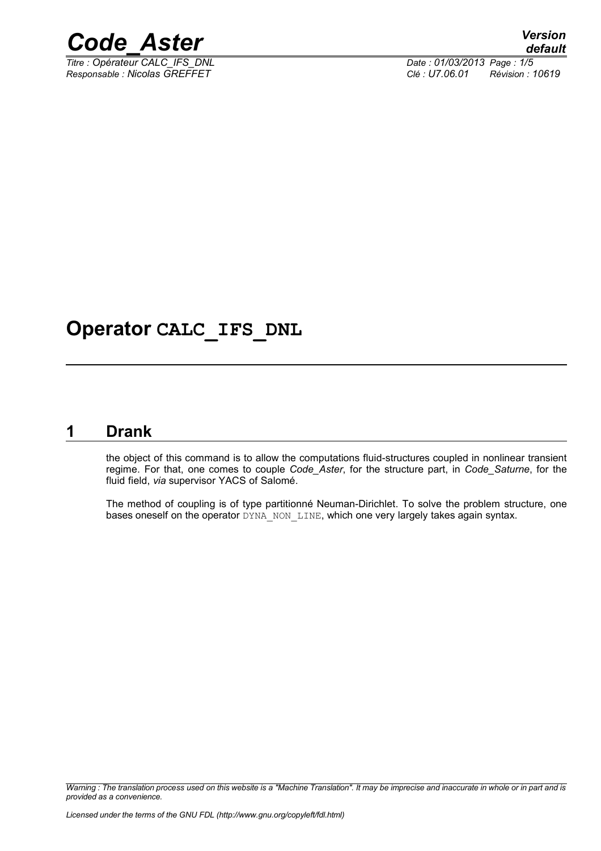

*Titre : Opérateur CALC\_IFS\_DNL Date : 01/03/2013 Page : 1/5*

*Responsable : Nicolas GREFFET Clé : U7.06.01 Révision : 10619*

## **Operator CALC\_IFS\_DNL**

#### **1 Drank**

<span id="page-0-0"></span>the object of this command is to allow the computations fluid-structures coupled in nonlinear transient regime. For that, one comes to couple *Code\_Aster*, for the structure part, in *Code\_Saturne*, for the fluid field, *via* supervisor YACS of Salomé.

The method of coupling is of type partitionné Neuman-Dirichlet. To solve the problem structure, one bases oneself on the operator DYNA\_NON\_LINE, which one very largely takes again syntax.

*Warning : The translation process used on this website is a "Machine Translation". It may be imprecise and inaccurate in whole or in part and is provided as a convenience.*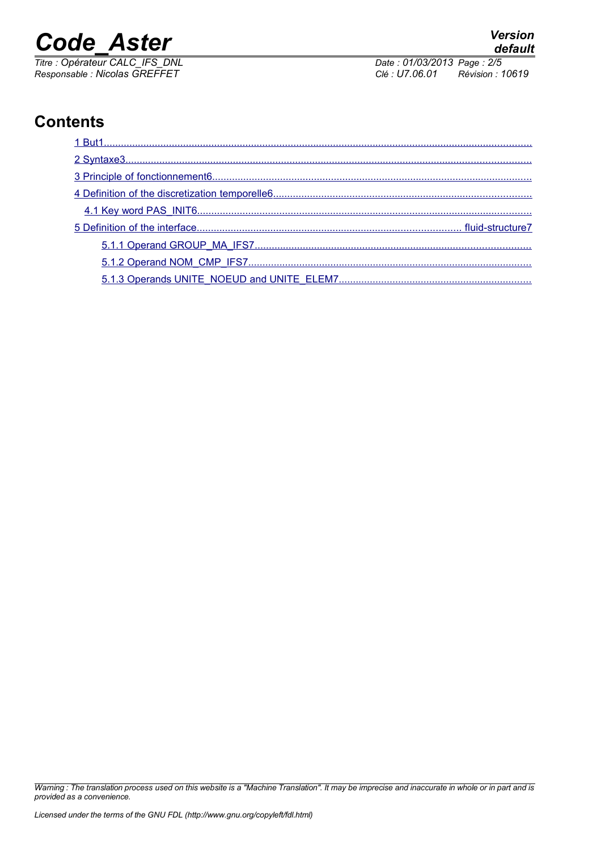*Titre : Opérateur CALC\_IFS\_DNL Date : 01/03/2013 Page : 2/5 Responsable : Nicolas GREFFET Clé : U7.06.01 Révision : 10619*

## **Contents**

*Warning : The translation process used on this website is a "Machine Translation". It may be imprecise and inaccurate in whole or in part and is provided as a convenience.*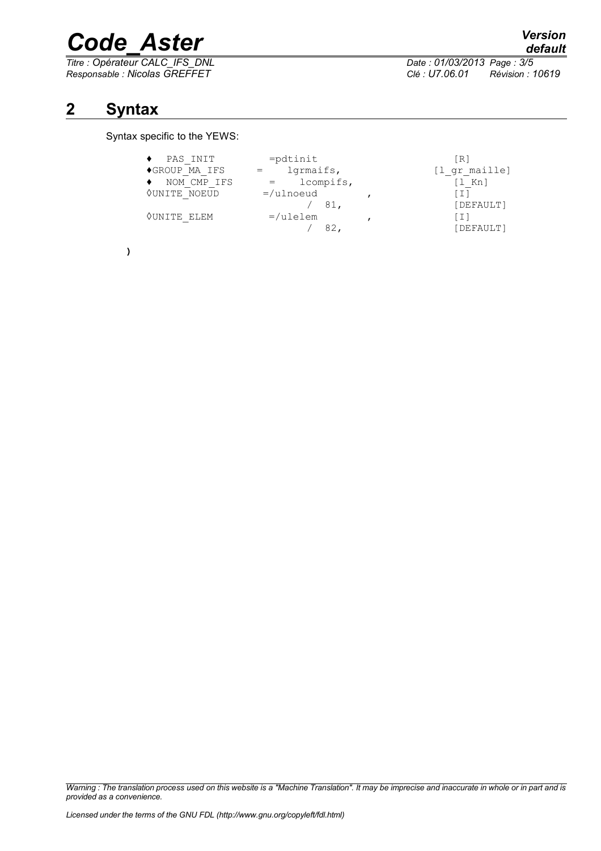*Titre : Opérateur CALC\_IFS\_DNL Date : 01/03/2013 Page : 3/5 Responsable : Nicolas GREFFET Clé : U7.06.01 Révision : 10619*

#### **2 Syntax**

<span id="page-2-0"></span>Syntax specific to the YEWS:

| PAS INIT            | $=$ pdtinit  | [R]           |
|---------------------|--------------|---------------|
| ◆GROUP MA IFS       | lgrmaifs,    | [l gr maille] |
| NOM CMP IFS         | lcompifs,    | $[1$ Kn]      |
| <b>QUNITE NOEUD</b> | $=$ /ulnoeud |               |
|                     | 81,          | [DEFAULT]     |
| <b>QUNITE ELEM</b>  | $=$ /ulelem  |               |
|                     | 82           | [DEFAULT]     |
|                     |              |               |

**)**

*Warning : The translation process used on this website is a "Machine Translation". It may be imprecise and inaccurate in whole or in part and is provided as a convenience.*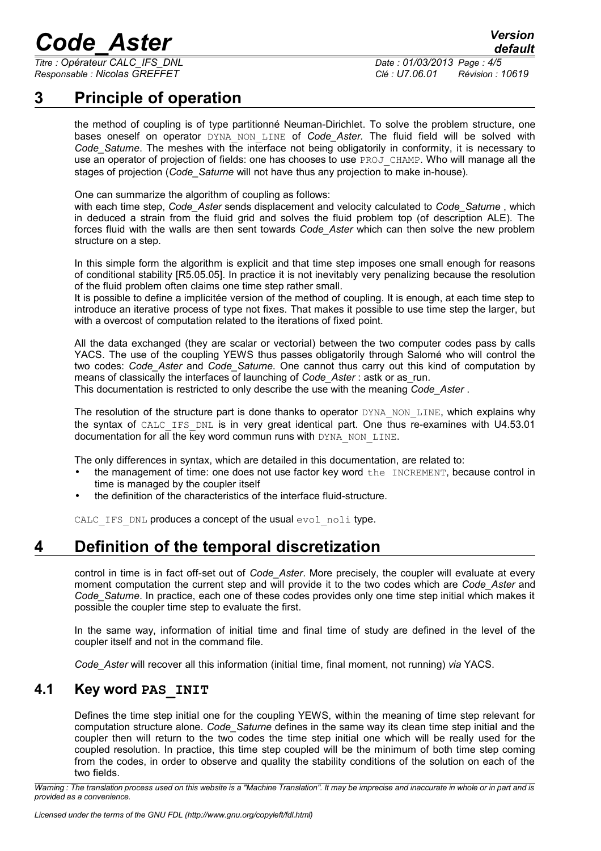*Titre : Opérateur CALC\_IFS\_DNL Date : 01/03/2013 Page : 4/5*

*default Responsable : Nicolas GREFFET Clé : U7.06.01 Révision : 10619*

### **3 Principle of operation**

<span id="page-3-2"></span>the method of coupling is of type partitionné Neuman-Dirichlet. To solve the problem structure, one bases oneself on operator DYNA\_NON\_LINE of *Code\_Aster.* The fluid field will be solved with *Code\_Saturne*. The meshes with the interface not being obligatorily in conformity, it is necessary to use an operator of projection of fields: one has chooses to use PROJ\_CHAMP. Who will manage all the stages of projection (*Code\_Saturne* will not have thus any projection to make in-house).

One can summarize the algorithm of coupling as follows:

with each time step, *Code\_Aster* sends displacement and velocity calculated to *Code\_Saturne* , which in deduced a strain from the fluid grid and solves the fluid problem top (of description ALE). The forces fluid with the walls are then sent towards *Code\_Aster* which can then solve the new problem structure on a step.

In this simple form the algorithm is explicit and that time step imposes one small enough for reasons of conditional stability [R5.05.05]. In practice it is not inevitably very penalizing because the resolution of the fluid problem often claims one time step rather small.

It is possible to define a implicitée version of the method of coupling. It is enough, at each time step to introduce an iterative process of type not fixes. That makes it possible to use time step the larger, but with a overcost of computation related to the iterations of fixed point.

All the data exchanged (they are scalar or vectorial) between the two computer codes pass by calls YACS. The use of the coupling YEWS thus passes obligatorily through Salomé who will control the two codes: *Code\_Aster* and *Code\_Saturne*. One cannot thus carry out this kind of computation by means of classically the interfaces of launching of *Code* Aster : astk or as run. This documentation is restricted to only describe the use with the meaning *Code\_Aster* .

The resolution of the structure part is done thanks to operator DYNA\_NON\_LINE, which explains why the syntax of CALC\_IFS\_DNL is in very great identical part. One thus re-examines with U4.53.01 documentation for all the key word commun runs with DYNA\_NON\_LINE.

The only differences in syntax, which are detailed in this documentation, are related to:

- the management of time: one does not use factor key word the INCREMENT, because control in time is managed by the coupler itself
- the definition of the characteristics of the interface fluid-structure.

<span id="page-3-1"></span>CALC IFS DNL produces a concept of the usual evol noli type.

### **4 Definition of the temporal discretization**

control in time is in fact off-set out of *Code\_Aster*. More precisely, the coupler will evaluate at every moment computation the current step and will provide it to the two codes which are *Code\_Aster* and *Code\_Saturne*. In practice, each one of these codes provides only one time step initial which makes it possible the coupler time step to evaluate the first.

In the same way, information of initial time and final time of study are defined in the level of the coupler itself and not in the command file.

<span id="page-3-0"></span>*Code\_Aster* will recover all this information (initial time, final moment, not running) *via* YACS.

#### **4.1 Key word PAS\_INIT**

Defines the time step initial one for the coupling YEWS, within the meaning of time step relevant for computation structure alone. *Code\_Saturne* defines in the same way its clean time step initial and the coupler then will return to the two codes the time step initial one which will be really used for the coupled resolution. In practice, this time step coupled will be the minimum of both time step coming from the codes, in order to observe and quality the stability conditions of the solution on each of the two fields.

*Warning : The translation process used on this website is a "Machine Translation". It may be imprecise and inaccurate in whole or in part and is provided as a convenience.*